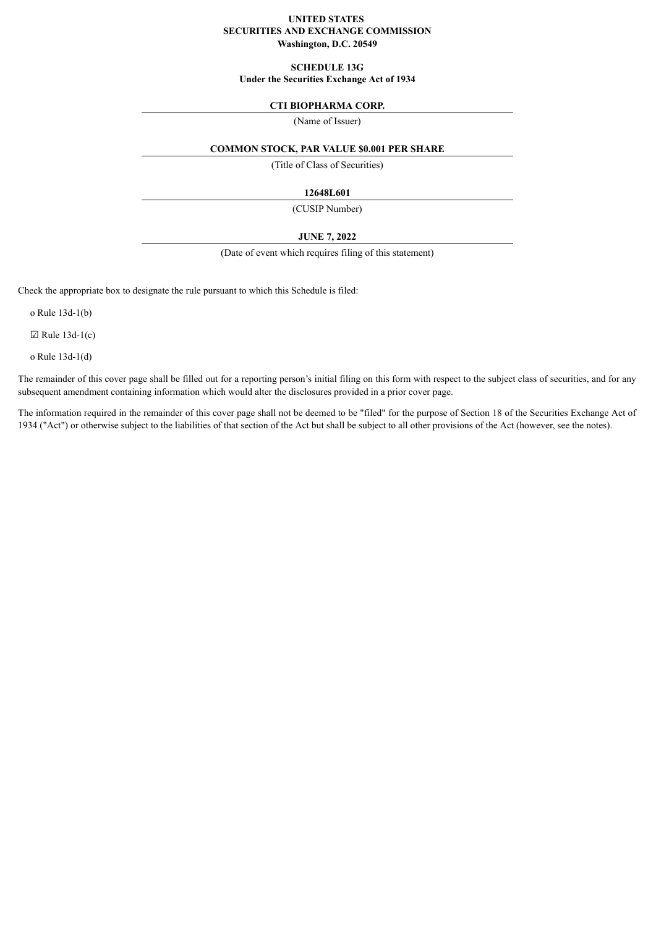# **UNITED STATES SECURITIES AND EXCHANGE COMMISSION Washington, D.C. 20549**

#### **SCHEDULE 13G**

**Under the Securities Exchange Act of 1934**

# **CTI BIOPHARMA CORP.**

(Name of Issuer)

# **COMMON STOCK, PAR VALUE \$0.001 PER SHARE**

(Title of Class of Securities)

# **12648L601**

(CUSIP Number)

# **JUNE 7, 2022**

(Date of event which requires filing of this statement)

Check the appropriate box to designate the rule pursuant to which this Schedule is filed:

o Rule 13d-1(b)

 $\boxtimes$  Rule 13d-1(c)

o Rule 13d-1(d)

The remainder of this cover page shall be filled out for a reporting person's initial filing on this form with respect to the subject class of securities, and for any subsequent amendment containing information which would alter the disclosures provided in a prior cover page.

The information required in the remainder of this cover page shall not be deemed to be "filed" for the purpose of Section 18 of the Securities Exchange Act of 1934 ("Act") or otherwise subject to the liabilities of that section of the Act but shall be subject to all other provisions of the Act (however, see the notes).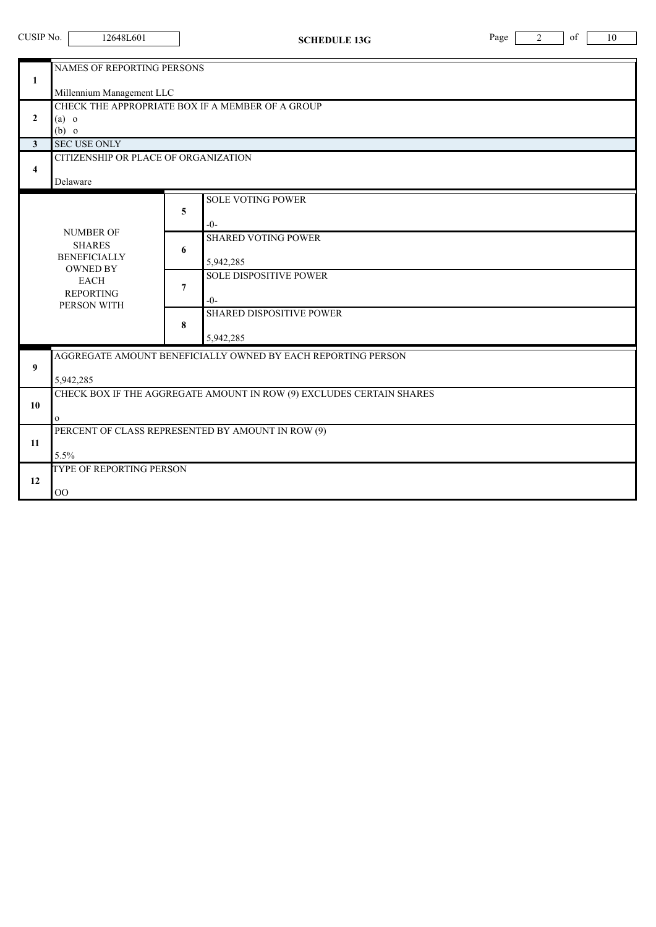| CUSIP No.                                                                 | 12648L601                                                                                                                                                                                                                                                            | <b>SCHEDULE 13G</b>                                                                                                                                                                          | Page<br>$\overline{2}$<br>of<br>10 |  |  |  |  |
|---------------------------------------------------------------------------|----------------------------------------------------------------------------------------------------------------------------------------------------------------------------------------------------------------------------------------------------------------------|----------------------------------------------------------------------------------------------------------------------------------------------------------------------------------------------|------------------------------------|--|--|--|--|
| $\mathbf{1}$<br>$\overline{2}$<br>$\mathbf{3}$<br>$\overline{\mathbf{4}}$ | NAMES OF REPORTING PERSONS<br>Millennium Management LLC<br>$(a)$ o<br>$(b)$ o<br><b>SEC USE ONLY</b><br>CITIZENSHIP OR PLACE OF ORGANIZATION                                                                                                                         | CHECK THE APPROPRIATE BOX IF A MEMBER OF A GROUP                                                                                                                                             |                                    |  |  |  |  |
|                                                                           | Delaware<br><b>NUMBER OF</b><br><b>SHARES</b><br><b>BENEFICIALLY</b><br><b>OWNED BY</b><br><b>EACH</b><br><b>REPORTING</b><br>PERSON WITH                                                                                                                            | <b>SOLE VOTING POWER</b><br>5<br>$-0-$<br><b>SHARED VOTING POWER</b><br>6<br>5,942,285<br><b>SOLE DISPOSITIVE POWER</b><br>7<br>$-()$ -<br><b>SHARED DISPOSITIVE POWER</b><br>8<br>5,942,285 |                                    |  |  |  |  |
| 9<br>10<br>11<br>12                                                       | AGGREGATE AMOUNT BENEFICIALLY OWNED BY EACH REPORTING PERSON<br>5,942,285<br>CHECK BOX IF THE AGGREGATE AMOUNT IN ROW (9) EXCLUDES CERTAIN SHARES<br>$\mathbf{O}$<br>PERCENT OF CLASS REPRESENTED BY AMOUNT IN ROW (9)<br>5.5%<br>TYPE OF REPORTING PERSON<br>$00\,$ |                                                                                                                                                                                              |                                    |  |  |  |  |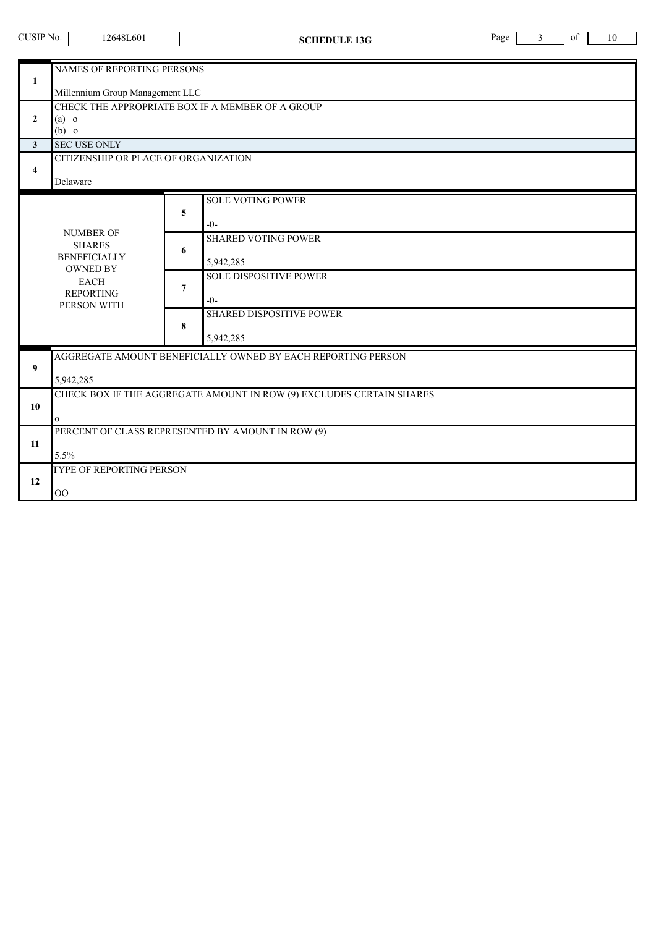| CUSIP No.                                                                 | 12648L601                                                                                                                                                 | <b>SCHEDULE 13G</b>                                                                                                                                                                          | Page | 3 | of | 10 |  |
|---------------------------------------------------------------------------|-----------------------------------------------------------------------------------------------------------------------------------------------------------|----------------------------------------------------------------------------------------------------------------------------------------------------------------------------------------------|------|---|----|----|--|
| $\mathbf{1}$<br>$\overline{2}$<br>$\mathbf{3}$<br>$\overline{\mathbf{4}}$ | <b>NAMES OF REPORTING PERSONS</b><br>Millennium Group Management LLC<br>$(a)$ o<br>$(b)$ o<br><b>SEC USE ONLY</b><br>CITIZENSHIP OR PLACE OF ORGANIZATION | CHECK THE APPROPRIATE BOX IF A MEMBER OF A GROUP                                                                                                                                             |      |   |    |    |  |
|                                                                           | Delaware<br><b>NUMBER OF</b><br><b>SHARES</b><br><b>BENEFICIALLY</b><br><b>OWNED BY</b><br><b>EACH</b><br><b>REPORTING</b><br>PERSON WITH                 | <b>SOLE VOTING POWER</b><br>5<br>$-0-$<br><b>SHARED VOTING POWER</b><br>6<br>5,942,285<br><b>SOLE DISPOSITIVE POWER</b><br>7<br>$-()$ -<br><b>SHARED DISPOSITIVE POWER</b><br>8<br>5,942,285 |      |   |    |    |  |
| 9<br>10                                                                   | AGGREGATE AMOUNT BENEFICIALLY OWNED BY EACH REPORTING PERSON<br>5,942,285<br>CHECK BOX IF THE AGGREGATE AMOUNT IN ROW (9) EXCLUDES CERTAIN SHARES         |                                                                                                                                                                                              |      |   |    |    |  |
| 11                                                                        | $\mathbf{O}$<br>PERCENT OF CLASS REPRESENTED BY AMOUNT IN ROW (9)<br>5.5%                                                                                 |                                                                                                                                                                                              |      |   |    |    |  |
| 12                                                                        | TYPE OF REPORTING PERSON<br>00                                                                                                                            |                                                                                                                                                                                              |      |   |    |    |  |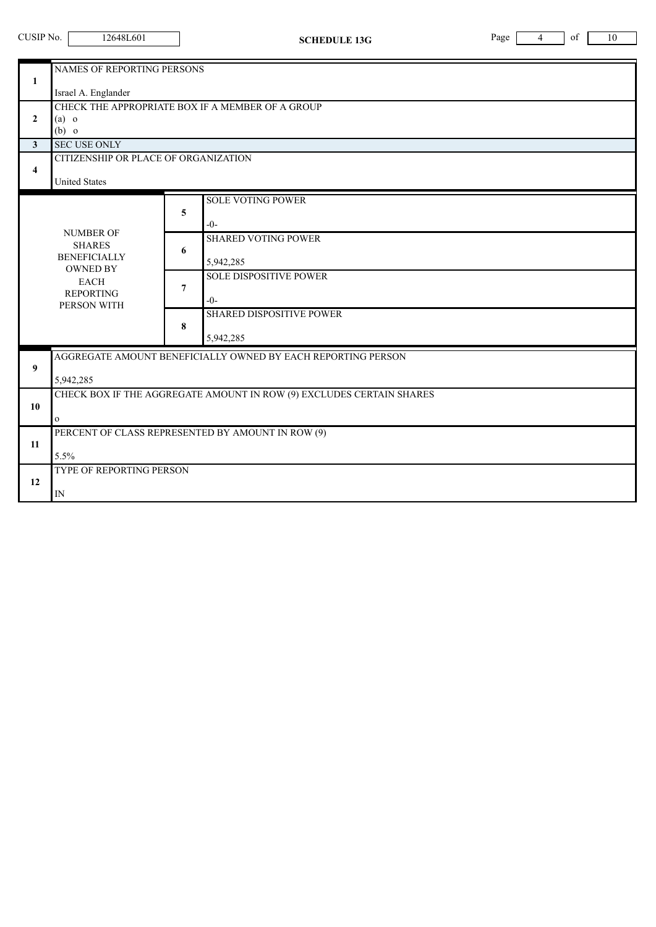ī

|                         | NAMES OF REPORTING PERSONS                                           |   |                                                              |  |  |  |
|-------------------------|----------------------------------------------------------------------|---|--------------------------------------------------------------|--|--|--|
| 1                       |                                                                      |   |                                                              |  |  |  |
|                         | Israel A. Englander                                                  |   |                                                              |  |  |  |
| $\mathbf{2}$            | CHECK THE APPROPRIATE BOX IF A MEMBER OF A GROUP                     |   |                                                              |  |  |  |
|                         | $(a)$ o<br>$(b)$ o                                                   |   |                                                              |  |  |  |
| $\mathbf{3}$            | <b>SEC USE ONLY</b>                                                  |   |                                                              |  |  |  |
|                         | CITIZENSHIP OR PLACE OF ORGANIZATION                                 |   |                                                              |  |  |  |
| $\overline{\mathbf{4}}$ |                                                                      |   |                                                              |  |  |  |
|                         | <b>United States</b>                                                 |   |                                                              |  |  |  |
|                         |                                                                      |   | <b>SOLE VOTING POWER</b>                                     |  |  |  |
|                         |                                                                      | 5 |                                                              |  |  |  |
|                         |                                                                      |   | $-0-$                                                        |  |  |  |
|                         | <b>NUMBER OF</b><br><b>SHARES</b>                                    | 6 | <b>SHARED VOTING POWER</b>                                   |  |  |  |
|                         | <b>BENEFICIALLY</b><br><b>OWNED BY</b>                               |   |                                                              |  |  |  |
|                         |                                                                      |   | 5,942,285                                                    |  |  |  |
|                         | <b>EACH</b>                                                          | 7 | <b>SOLE DISPOSITIVE POWER</b>                                |  |  |  |
|                         | <b>REPORTING</b>                                                     |   | $-0-$                                                        |  |  |  |
|                         | PERSON WITH                                                          | 8 | <b>SHARED DISPOSITIVE POWER</b>                              |  |  |  |
|                         |                                                                      |   |                                                              |  |  |  |
|                         |                                                                      |   | 5,942,285                                                    |  |  |  |
|                         |                                                                      |   | AGGREGATE AMOUNT BENEFICIALLY OWNED BY EACH REPORTING PERSON |  |  |  |
| 9                       |                                                                      |   |                                                              |  |  |  |
|                         | 5,942,285                                                            |   |                                                              |  |  |  |
|                         | CHECK BOX IF THE AGGREGATE AMOUNT IN ROW (9) EXCLUDES CERTAIN SHARES |   |                                                              |  |  |  |
| 10                      |                                                                      |   |                                                              |  |  |  |
|                         | 0                                                                    |   |                                                              |  |  |  |
| 11                      | PERCENT OF CLASS REPRESENTED BY AMOUNT IN ROW (9)                    |   |                                                              |  |  |  |
|                         | 5.5%                                                                 |   |                                                              |  |  |  |
|                         | TYPE OF REPORTING PERSON                                             |   |                                                              |  |  |  |
| 12                      |                                                                      |   |                                                              |  |  |  |
|                         | IN                                                                   |   |                                                              |  |  |  |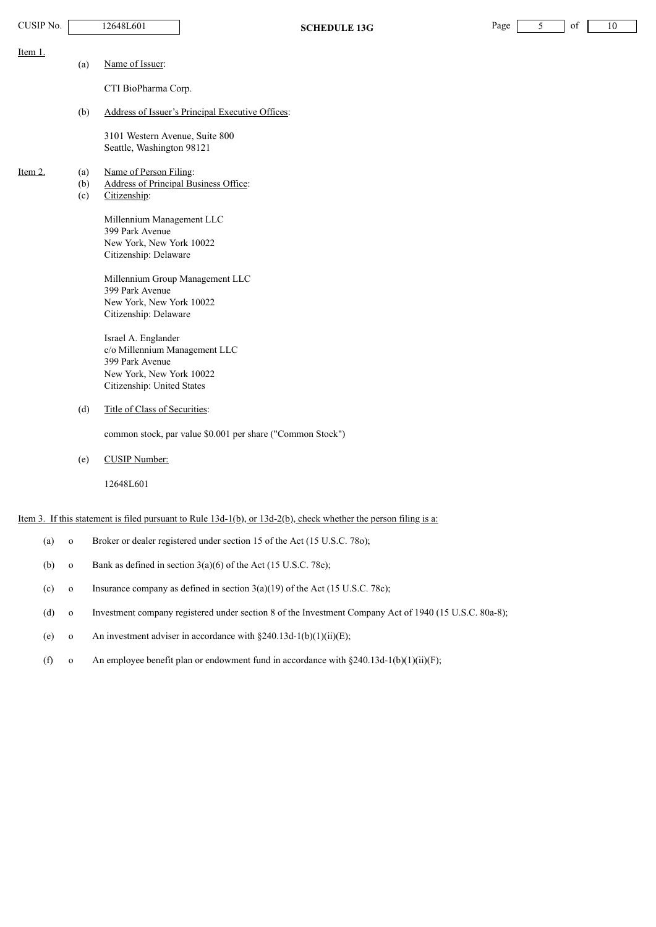| CUSIP No. |              | 12648L601<br><b>SCHEDULE 13G</b>                                                                                       | Page | 5 | of | 10 |
|-----------|--------------|------------------------------------------------------------------------------------------------------------------------|------|---|----|----|
| Item 1.   |              |                                                                                                                        |      |   |    |    |
|           | (a)          | Name of Issuer:                                                                                                        |      |   |    |    |
|           |              | CTI BioPharma Corp.                                                                                                    |      |   |    |    |
|           | (b)          | Address of Issuer's Principal Executive Offices:                                                                       |      |   |    |    |
|           |              | 3101 Western Avenue, Suite 800<br>Seattle, Washington 98121                                                            |      |   |    |    |
| Item 2.   | (a)          | Name of Person Filing:                                                                                                 |      |   |    |    |
|           | (b)<br>(c)   | Address of Principal Business Office:<br>Citizenship:                                                                  |      |   |    |    |
|           |              | Millennium Management LLC<br>399 Park Avenue<br>New York, New York 10022                                               |      |   |    |    |
|           |              | Citizenship: Delaware                                                                                                  |      |   |    |    |
|           |              | Millennium Group Management LLC<br>399 Park Avenue                                                                     |      |   |    |    |
|           |              | New York, New York 10022<br>Citizenship: Delaware                                                                      |      |   |    |    |
|           |              | Israel A. Englander                                                                                                    |      |   |    |    |
|           |              | c/o Millennium Management LLC<br>399 Park Avenue                                                                       |      |   |    |    |
|           |              | New York, New York 10022<br>Citizenship: United States                                                                 |      |   |    |    |
|           | (d)          | Title of Class of Securities:                                                                                          |      |   |    |    |
|           |              | common stock, par value \$0.001 per share ("Common Stock")                                                             |      |   |    |    |
|           | (e)          | <b>CUSIP Number:</b>                                                                                                   |      |   |    |    |
|           |              | 12648L601                                                                                                              |      |   |    |    |
|           |              | Item 3. If this statement is filed pursuant to Rule $13d-1(b)$ , or $13d-2(b)$ , check whether the person filing is a: |      |   |    |    |
| (a)       | $\mathbf{o}$ | Broker or dealer registered under section 15 of the Act (15 U.S.C. 780);                                               |      |   |    |    |

- (b) o Bank as defined in section  $3(a)(6)$  of the Act (15 U.S.C. 78c);
- (c) o Insurance company as defined in section  $3(a)(19)$  of the Act (15 U.S.C. 78c);
- (d) o Investment company registered under section 8 of the Investment Company Act of 1940 (15 U.S.C. 80a-8);
- (e) o An investment adviser in accordance with  $\S 240.13d-1(b)(1)(ii)(E)$ ;
- (f) o An employee benefit plan or endowment fund in accordance with  $\S 240.13d-1(b)(1)(ii)(F)$ ;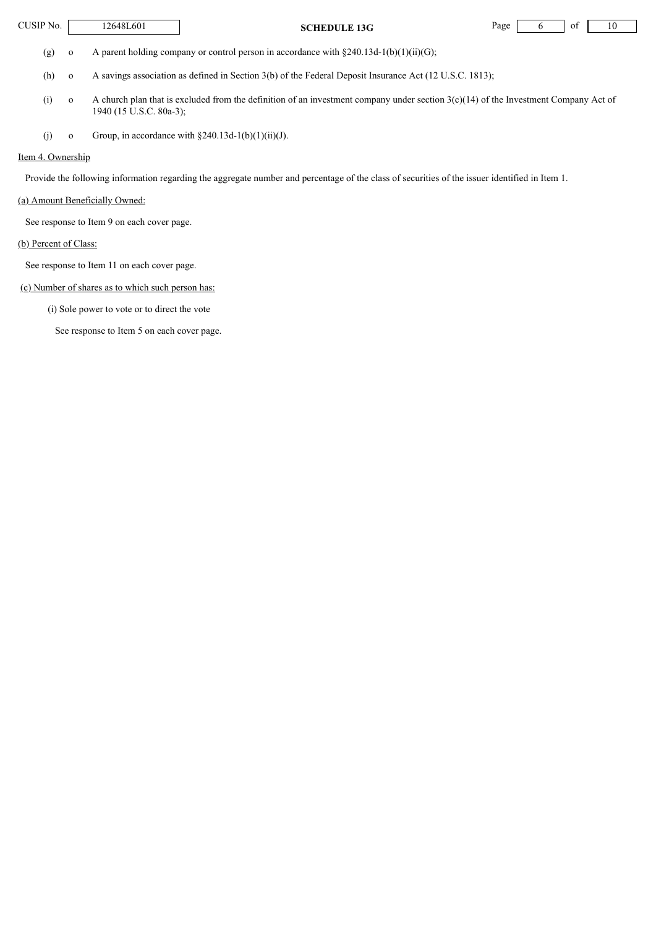**CUSIP No.** 12648L601 **SCHEDULE 13G** Page 6 of 10

(g) o A parent holding company or control person in accordance with  $\S 240.13d-1(b)(1)(ii)(G);$ 

(h) o A savings association as defined in Section 3(b) of the Federal Deposit Insurance Act (12 U.S.C. 1813);

- (i) o A church plan that is excluded from the definition of an investment company under section  $3(c)(14)$  of the Investment Company Act of 1940 (15 U.S.C. 80a-3);
- (j) o Group, in accordance with  $§240.13d-1(b)(1)(ii)(J)$ .

# Item 4. Ownership

Provide the following information regarding the aggregate number and percentage of the class of securities of the issuer identified in Item 1.

# (a) Amount Beneficially Owned:

See response to Item 9 on each cover page.

#### (b) Percent of Class:

See response to Item 11 on each cover page.

# (c) Number of shares as to which such person has:

(i) Sole power to vote or to direct the vote

See response to Item 5 on each cover page.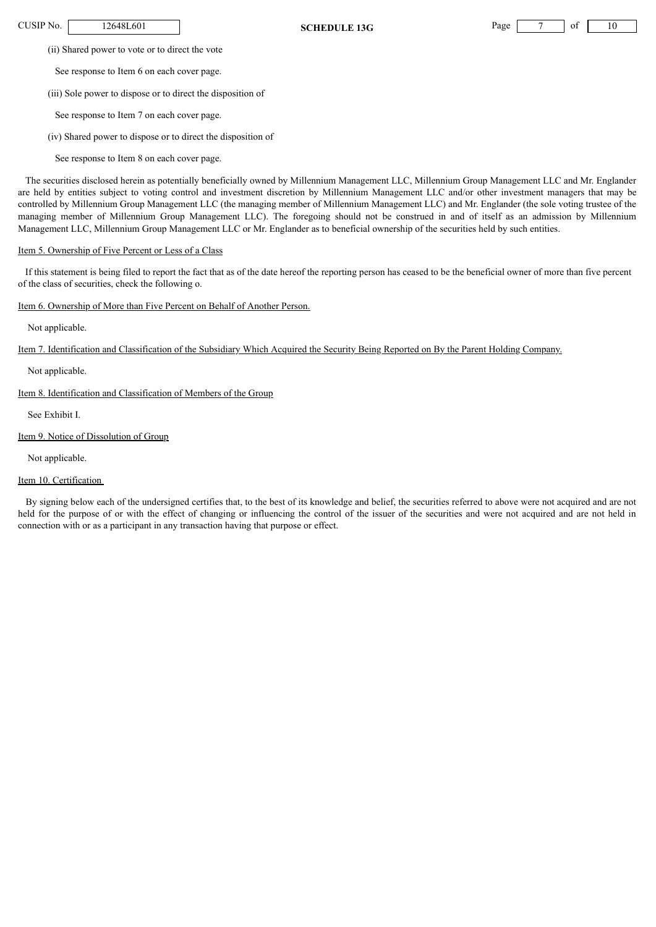CUSIP No. | 12648L601 | **SCHEDULE 13G** Page 7 of 10

(ii) Shared power to vote or to direct the vote

See response to Item 6 on each cover page.

(iii) Sole power to dispose or to direct the disposition of

See response to Item 7 on each cover page.

(iv) Shared power to dispose or to direct the disposition of

See response to Item 8 on each cover page.

The securities disclosed herein as potentially beneficially owned by Millennium Management LLC, Millennium Group Management LLC and Mr. Englander are held by entities subject to voting control and investment discretion by Millennium Management LLC and/or other investment managers that may be controlled by Millennium Group Management LLC (the managing member of Millennium Management LLC) and Mr. Englander (the sole voting trustee of the managing member of Millennium Group Management LLC). The foregoing should not be construed in and of itself as an admission by Millennium Management LLC, Millennium Group Management LLC or Mr. Englander as to beneficial ownership of the securities held by such entities.

# Item 5. Ownership of Five Percent or Less of a Class

If this statement is being filed to report the fact that as of the date hereof the reporting person has ceased to be the beneficial owner of more than five percent of the class of securities, check the following o.

# Item 6. Ownership of More than Five Percent on Behalf of Another Person.

Not applicable.

Item 7. Identification and Classification of the Subsidiary Which Acquired the Security Being Reported on By the Parent Holding Company.

Not applicable.

Item 8. Identification and Classification of Members of the Group

See Exhibit I.

# Item 9. Notice of Dissolution of Group

Not applicable.

# Item 10. Certification

By signing below each of the undersigned certifies that, to the best of its knowledge and belief, the securities referred to above were not acquired and are not held for the purpose of or with the effect of changing or influencing the control of the issuer of the securities and were not acquired and are not held in connection with or as a participant in any transaction having that purpose or effect.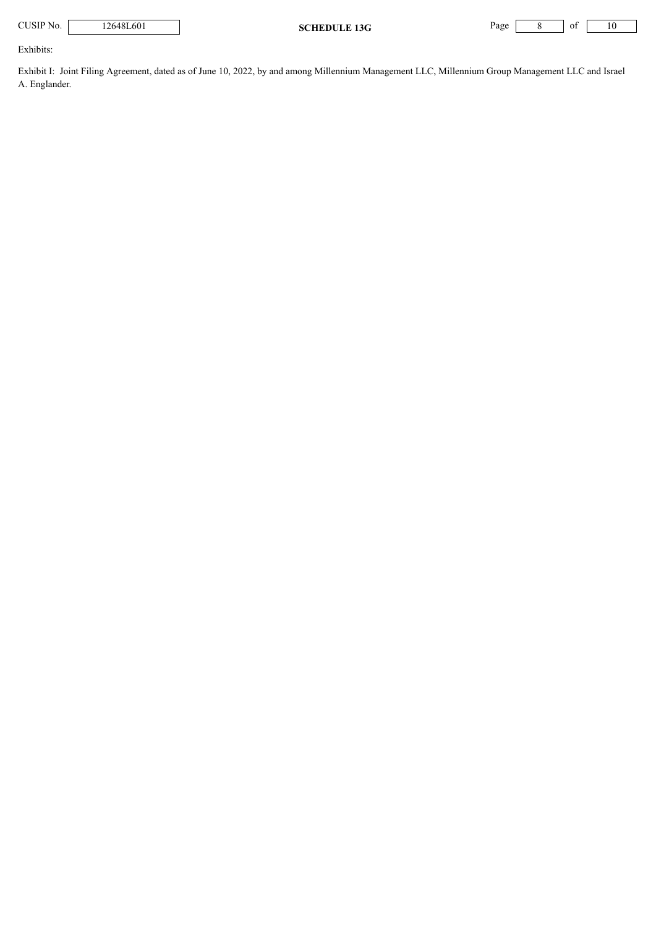**CUSIP No.** 12648L601 **SCHEDULE 13G** Page 8 of 10

Exhibits:

Exhibit I: Joint Filing Agreement, dated as of June 10, 2022, by and among Millennium Management LLC, Millennium Group Management LLC and Israel A. Englander.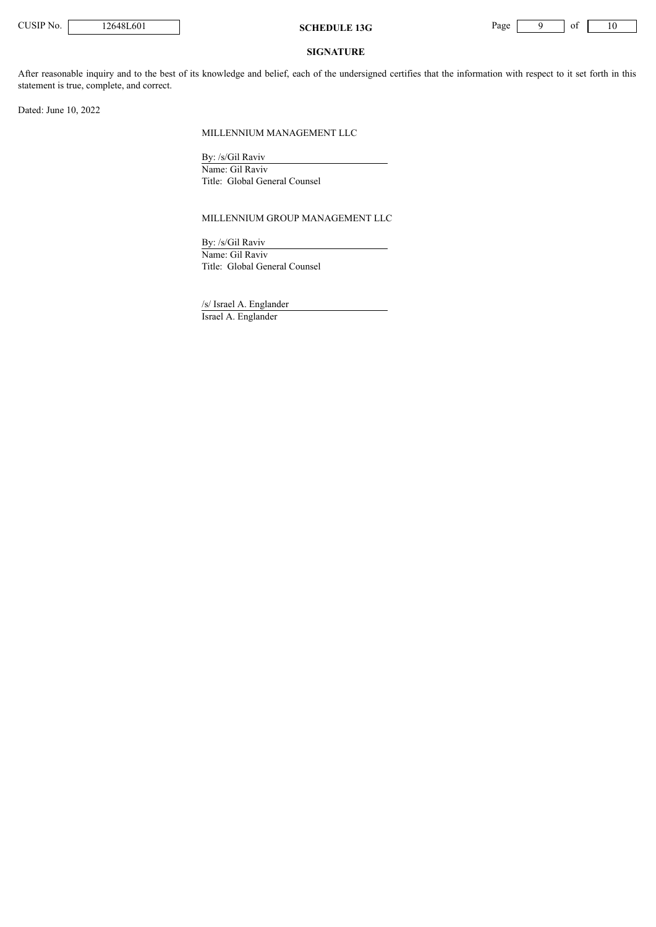

### **SIGNATURE**

After reasonable inquiry and to the best of its knowledge and belief, each of the undersigned certifies that the information with respect to it set forth in this statement is true, complete, and correct.

Dated: June 10, 2022

#### MILLENNIUM MANAGEMENT LLC

By: /s/Gil Raviv Name: Gil Raviv Title: Global General Counsel

#### MILLENNIUM GROUP MANAGEMENT LLC

By: /s/Gil Raviv Name: Gil Raviv Title: Global General Counsel

/s/ Israel A. Englander Israel A. Englander